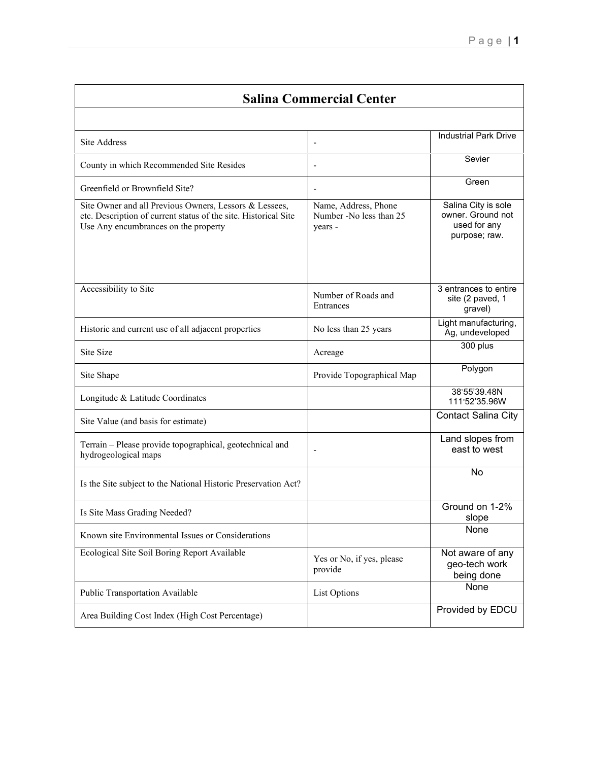| <b>Salina Commercial Center</b>                                                                                                                                   |                                                            |                                                                           |
|-------------------------------------------------------------------------------------------------------------------------------------------------------------------|------------------------------------------------------------|---------------------------------------------------------------------------|
|                                                                                                                                                                   |                                                            |                                                                           |
| Site Address                                                                                                                                                      | $\overline{\phantom{a}}$                                   | <b>Industrial Park Drive</b>                                              |
| County in which Recommended Site Resides                                                                                                                          |                                                            | Sevier                                                                    |
| Greenfield or Brownfield Site?                                                                                                                                    | $\overline{\phantom{a}}$                                   | Green                                                                     |
| Site Owner and all Previous Owners, Lessors & Lessees,<br>etc. Description of current status of the site. Historical Site<br>Use Any encumbrances on the property | Name, Address, Phone<br>Number -No less than 25<br>years - | Salina City is sole<br>owner. Ground not<br>used for any<br>purpose; raw. |
| Accessibility to Site                                                                                                                                             | Number of Roads and<br>Entrances                           | 3 entrances to entire<br>site (2 paved, 1<br>gravel)                      |
| Historic and current use of all adjacent properties                                                                                                               | No less than 25 years                                      | Light manufacturing,<br>Ag, undeveloped                                   |
| Site Size                                                                                                                                                         | Acreage                                                    | 300 plus                                                                  |
| Site Shape                                                                                                                                                        | Provide Topographical Map                                  | Polygon                                                                   |
| Longitude & Latitude Coordinates                                                                                                                                  |                                                            | 38°55'39.48N<br>111°52'35.96W                                             |
| Site Value (and basis for estimate)                                                                                                                               |                                                            | Contact Salina City                                                       |
| Terrain - Please provide topographical, geotechnical and<br>hydrogeological maps                                                                                  |                                                            | Land slopes from<br>east to west                                          |
| Is the Site subject to the National Historic Preservation Act?                                                                                                    |                                                            | No                                                                        |
| Is Site Mass Grading Needed?                                                                                                                                      |                                                            | Ground on 1-2%<br>slope                                                   |
| Known site Environmental Issues or Considerations                                                                                                                 |                                                            | None                                                                      |
| Ecological Site Soil Boring Report Available                                                                                                                      | Yes or No, if yes, please<br>provide                       | Not aware of any<br>geo-tech work<br>being done                           |
| Public Transportation Available                                                                                                                                   | List Options                                               | None                                                                      |
| Area Building Cost Index (High Cost Percentage)                                                                                                                   |                                                            | Provided by EDCU                                                          |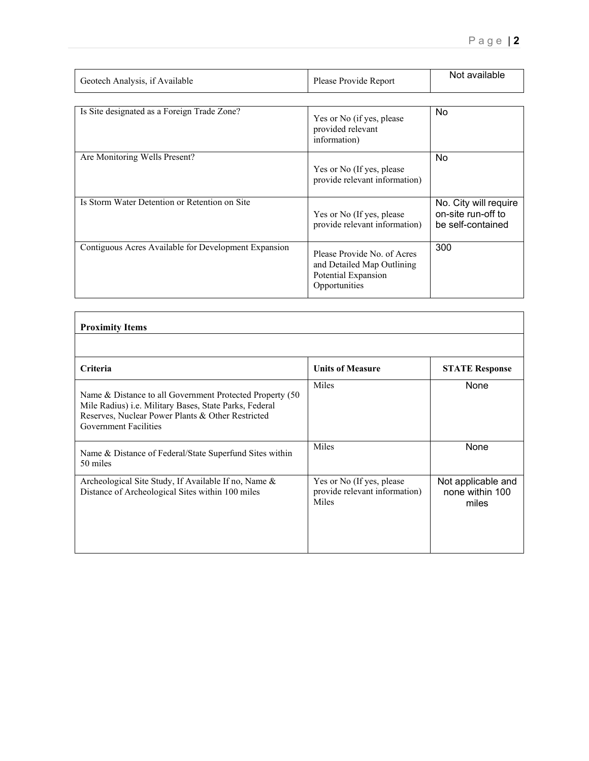| Geotech Analysis, if Available                       | Please Provide Report                                                                             | Not available                                                    |
|------------------------------------------------------|---------------------------------------------------------------------------------------------------|------------------------------------------------------------------|
| Is Site designated as a Foreign Trade Zone?          | Yes or No (if yes, please<br>provided relevant<br>information)                                    | No.                                                              |
| Are Monitoring Wells Present?                        | Yes or No (If yes, please<br>provide relevant information)                                        | <b>No</b>                                                        |
| Is Storm Water Detention or Retention on Site        | Yes or No (If yes, please<br>provide relevant information)                                        | No. City will require<br>on-site run-off to<br>be self-contained |
| Contiguous Acres Available for Development Expansion | Please Provide No. of Acres<br>and Detailed Map Outlining<br>Potential Expansion<br>Opportunities | 300                                                              |

| <b>Proximity Items</b>                                                                                                                                                                                   |                                                                     |                                                |
|----------------------------------------------------------------------------------------------------------------------------------------------------------------------------------------------------------|---------------------------------------------------------------------|------------------------------------------------|
|                                                                                                                                                                                                          |                                                                     |                                                |
| <b>Criteria</b>                                                                                                                                                                                          | <b>Units of Measure</b>                                             | <b>STATE Response</b>                          |
| Name & Distance to all Government Protected Property (50)<br>Mile Radius) i.e. Military Bases, State Parks, Federal<br>Reserves, Nuclear Power Plants & Other Restricted<br><b>Government Facilities</b> | Miles                                                               | None                                           |
| Name & Distance of Federal/State Superfund Sites within<br>50 miles                                                                                                                                      | Miles                                                               | None                                           |
| Archeological Site Study, If Available If no, Name &<br>Distance of Archeological Sites within 100 miles                                                                                                 | Yes or No (If yes, please<br>provide relevant information)<br>Miles | Not applicable and<br>none within 100<br>miles |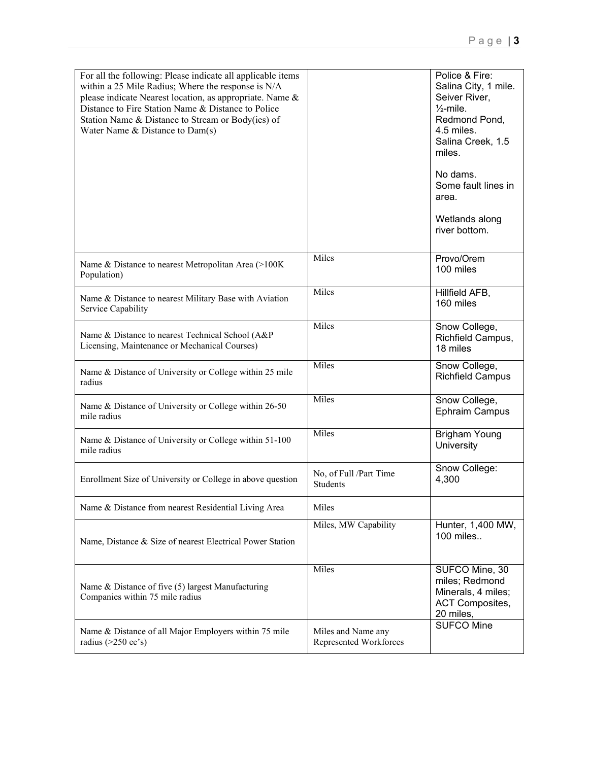| For all the following: Please indicate all applicable items<br>within a 25 Mile Radius; Where the response is N/A<br>please indicate Nearest location, as appropriate. Name &<br>Distance to Fire Station Name & Distance to Police<br>Station Name & Distance to Stream or Body(ies) of<br>Water Name & Distance to Dam(s) |                                              | Police & Fire:<br>Salina City, 1 mile.<br>Seiver River,<br>$\frac{1}{2}$ -mile.<br>Redmond Pond,<br>4.5 miles.<br>Salina Creek, 1.5<br>miles.<br>No dams.<br>Some fault lines in<br>area.<br>Wetlands along<br>river bottom. |
|-----------------------------------------------------------------------------------------------------------------------------------------------------------------------------------------------------------------------------------------------------------------------------------------------------------------------------|----------------------------------------------|------------------------------------------------------------------------------------------------------------------------------------------------------------------------------------------------------------------------------|
| Name & Distance to nearest Metropolitan Area (>100K<br>Population)                                                                                                                                                                                                                                                          | Miles                                        | Provo/Orem<br>100 miles                                                                                                                                                                                                      |
| Name & Distance to nearest Military Base with Aviation<br>Service Capability                                                                                                                                                                                                                                                | Miles                                        | Hillfield AFB,<br>160 miles                                                                                                                                                                                                  |
| Name & Distance to nearest Technical School (A&P<br>Licensing, Maintenance or Mechanical Courses)                                                                                                                                                                                                                           | Miles                                        | Snow College,<br>Richfield Campus,<br>18 miles                                                                                                                                                                               |
| Name & Distance of University or College within 25 mile<br>radius                                                                                                                                                                                                                                                           | Miles                                        | Snow College,<br><b>Richfield Campus</b>                                                                                                                                                                                     |
| Name & Distance of University or College within 26-50<br>mile radius                                                                                                                                                                                                                                                        | Miles                                        | Snow College,<br>Ephraim Campus                                                                                                                                                                                              |
| Name & Distance of University or College within 51-100<br>mile radius                                                                                                                                                                                                                                                       | Miles                                        | <b>Brigham Young</b><br>University                                                                                                                                                                                           |
| Enrollment Size of University or College in above question                                                                                                                                                                                                                                                                  | No, of Full /Part Time<br>Students           | Snow College:<br>4,300                                                                                                                                                                                                       |
| Name & Distance from nearest Residential Living Area                                                                                                                                                                                                                                                                        | Miles                                        |                                                                                                                                                                                                                              |
| Name, Distance & Size of nearest Electrical Power Station                                                                                                                                                                                                                                                                   | Miles, MW Capability                         | Hunter, 1,400 MW,<br>100 miles                                                                                                                                                                                               |
| Name & Distance of five (5) largest Manufacturing<br>Companies within 75 mile radius                                                                                                                                                                                                                                        | Miles                                        | SUFCO Mine, 30<br>miles; Redmond<br>Minerals, 4 miles;<br><b>ACT Composites,</b><br>20 miles,                                                                                                                                |
| Name & Distance of all Major Employers within 75 mile<br>radius $($ >250 ee's)                                                                                                                                                                                                                                              | Miles and Name any<br>Represented Workforces | <b>SUFCO Mine</b>                                                                                                                                                                                                            |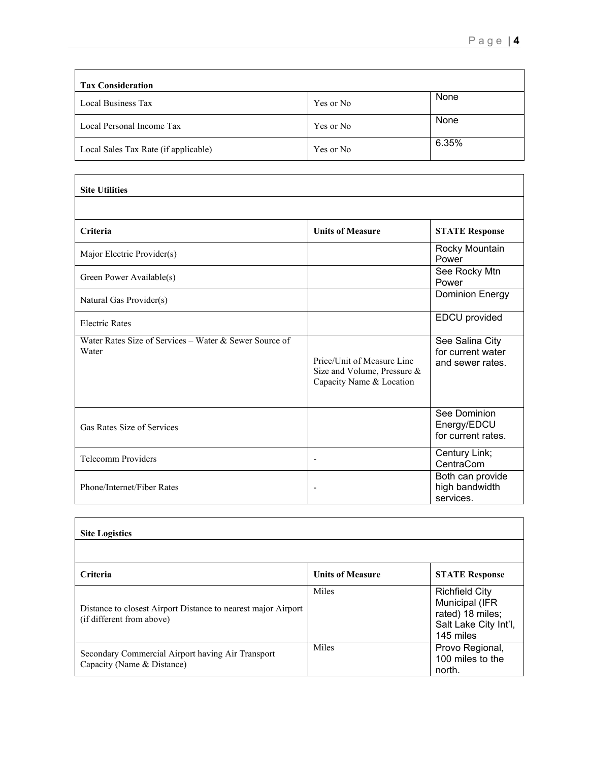| <b>Tax Consideration</b>             |           |       |
|--------------------------------------|-----------|-------|
| Local Business Tax                   | Yes or No | None  |
| Local Personal Income Tax            | Yes or No | None  |
| Local Sales Tax Rate (if applicable) | Yes or No | 6.35% |

| <b>Site Utilities</b>                                           |                                                                                       |                                                          |
|-----------------------------------------------------------------|---------------------------------------------------------------------------------------|----------------------------------------------------------|
|                                                                 |                                                                                       |                                                          |
| Criteria                                                        | <b>Units of Measure</b>                                                               | <b>STATE Response</b>                                    |
| Major Electric Provider(s)                                      |                                                                                       | Rocky Mountain<br>Power                                  |
| Green Power Available(s)                                        |                                                                                       | See Rocky Mtn<br>Power                                   |
| Natural Gas Provider(s)                                         |                                                                                       | <b>Dominion Energy</b>                                   |
| <b>Electric Rates</b>                                           |                                                                                       | EDCU provided                                            |
| Water Rates Size of Services – Water & Sewer Source of<br>Water | Price/Unit of Measure Line<br>Size and Volume, Pressure &<br>Capacity Name & Location | See Salina City<br>for current water<br>and sewer rates. |
| Gas Rates Size of Services                                      |                                                                                       | See Dominion<br>Energy/EDCU<br>for current rates.        |
| <b>Telecomm Providers</b>                                       | $\overline{\phantom{a}}$                                                              | Century Link;<br>CentraCom                               |
| Phone/Internet/Fiber Rates                                      |                                                                                       | Both can provide<br>high bandwidth<br>services.          |

| <b>Site Logistics</b>                                                                      |                         |                                                                                                   |
|--------------------------------------------------------------------------------------------|-------------------------|---------------------------------------------------------------------------------------------------|
|                                                                                            |                         |                                                                                                   |
| <b>Criteria</b>                                                                            | <b>Units of Measure</b> | <b>STATE Response</b>                                                                             |
| Distance to closest Airport Distance to nearest major Airport<br>(if different from above) | <b>Miles</b>            | <b>Richfield City</b><br>Municipal (IFR<br>rated) 18 miles;<br>Salt Lake City Int'l,<br>145 miles |
| Secondary Commercial Airport having Air Transport<br>Capacity (Name & Distance)            | Miles                   | Provo Regional,<br>100 miles to the<br>north.                                                     |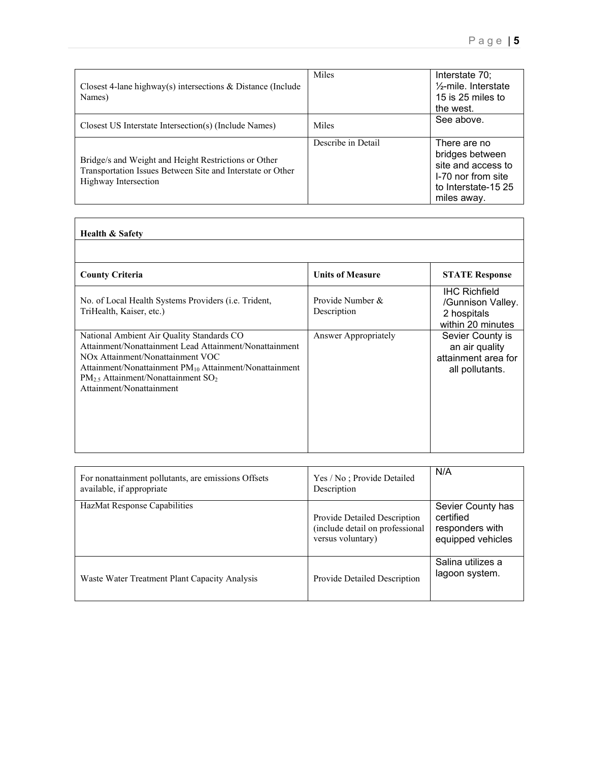| Closest 4-lane highway(s) intersections $\&$ Distance (Include<br>Names)                                                                   | Miles              | Interstate 70;<br>$\frac{1}{2}$ -mile. Interstate<br>15 is 25 miles to<br>the west.                               |
|--------------------------------------------------------------------------------------------------------------------------------------------|--------------------|-------------------------------------------------------------------------------------------------------------------|
| Closest US Interstate Intersection(s) (Include Names)                                                                                      | Miles              | See above.                                                                                                        |
| Bridge/s and Weight and Height Restrictions or Other<br>Transportation Issues Between Site and Interstate or Other<br>Highway Intersection | Describe in Detail | There are no<br>bridges between<br>site and access to<br>I-70 nor from site<br>to Interstate-15 25<br>miles away. |

## **Health & Safety**

| <b>County Criteria</b>                                                                                                                                                                                                                                                                       | <b>Units of Measure</b>         | <b>STATE Response</b>                                                         |
|----------------------------------------------------------------------------------------------------------------------------------------------------------------------------------------------------------------------------------------------------------------------------------------------|---------------------------------|-------------------------------------------------------------------------------|
| No. of Local Health Systems Providers ( <i>i.e.</i> Trident,<br>TriHealth, Kaiser, etc.)                                                                                                                                                                                                     | Provide Number &<br>Description | <b>IHC Richfield</b><br>/Gunnison Valley.<br>2 hospitals<br>within 20 minutes |
| National Ambient Air Quality Standards CO<br>Attainment/Nonattainment Lead Attainment/Nonattainment<br>NO <sub>x</sub> Attainment/Nonattainment VOC<br>Attainment/Nonattainment $PM_{10}$ Attainment/Nonattainment<br>$PM_{2.5}$ Attainment/Nonattainment $SO_2$<br>Attainment/Nonattainment | Answer Appropriately            | Sevier County is<br>an air quality<br>attainment area for<br>all pollutants.  |

| For nonattainment pollutants, are emissions Offsets<br>available, if appropriate | Yes / No; Provide Detailed<br>Description                                            | N/A                                                                    |
|----------------------------------------------------------------------------------|--------------------------------------------------------------------------------------|------------------------------------------------------------------------|
| HazMat Response Capabilities                                                     | Provide Detailed Description<br>(include detail on professional<br>versus voluntary) | Sevier County has<br>certified<br>responders with<br>equipped vehicles |
| Waste Water Treatment Plant Capacity Analysis                                    | Provide Detailed Description                                                         | Salina utilizes a<br>lagoon system.                                    |